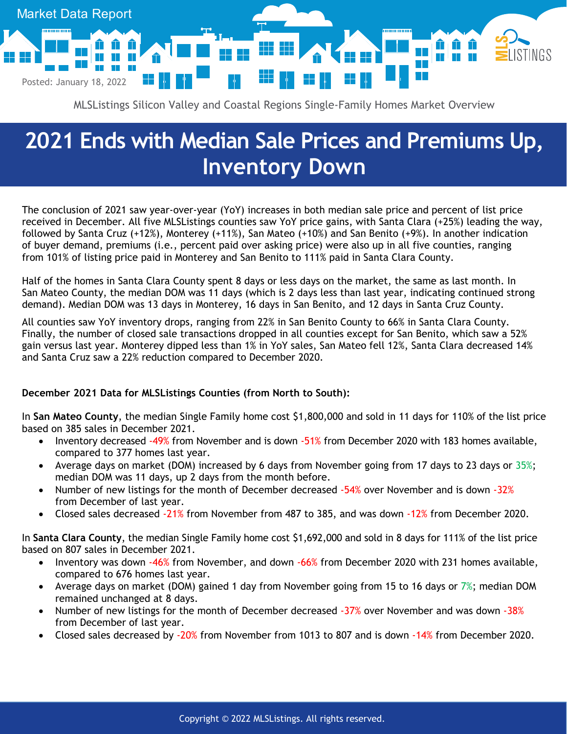

MLSListings Silicon Valley and Coastal Regions Single-Family Homes Market Overview

## **2021 Ends with Median Sale Prices and Premiums Up, Inventory Down**

The conclusion of 2021 saw year-over-year (YoY) increases in both median sale price and percent of list price received in December. All five MLSListings counties saw YoY price gains, with Santa Clara (+25%) leading the way, followed by Santa Cruz (+12%), Monterey (+11%), San Mateo (+10%) and San Benito (+9%). In another indication of buyer demand, premiums (i.e., percent paid over asking price) were also up in all five counties, ranging from 101% of listing price paid in Monterey and San Benito to 111% paid in Santa Clara County.

Half of the homes in Santa Clara County spent 8 days or less days on the market, the same as last month. In San Mateo County, the median DOM was 11 days (which is 2 days less than last year, indicating continued strong demand). Median DOM was 13 days in Monterey, 16 days in San Benito, and 12 days in Santa Cruz County.

All counties saw YoY inventory drops, ranging from 22% in San Benito County to 66% in Santa Clara County. Finally, the number of closed sale transactions dropped in all counties except for San Benito, which saw a 52% gain versus last year. Monterey dipped less than 1% in YoY sales, San Mateo fell 12%, Santa Clara decreased 14% and Santa Cruz saw a 22% reduction compared to December 2020.

## **December 2021 Data for MLSListings Counties (from North to South):**

In **San Mateo County**, the median Single Family home cost \$1,800,000 and sold in 11 days for 110% of the list price based on 385 sales in December 2021.

- Inventory decreased -49% from November and is down -51% from December 2020 with 183 homes available, compared to 377 homes last year.
- Average days on market (DOM) increased by 6 days from November going from 17 days to 23 days or 35%; median DOM was 11 days, up 2 days from the month before.
- Number of new listings for the month of December decreased -54% over November and is down -32% from December of last year.
- Closed sales decreased -21% from November from 487 to 385, and was down -12% from December 2020.

In **Santa Clara County**, the median Single Family home cost \$1,692,000 and sold in 8 days for 111% of the list price based on 807 sales in December 2021.

- Inventory was down -46% from November, and down -66% from December 2020 with 231 homes available, compared to 676 homes last year.
- Average days on market (DOM) gained 1 day from November going from 15 to 16 days or 7%; median DOM remained unchanged at 8 days.
- Number of new listings for the month of December decreased -37% over November and was down -38% from December of last year.
- Closed sales decreased by -20% from November from 1013 to 807 and is down -14% from December 2020.